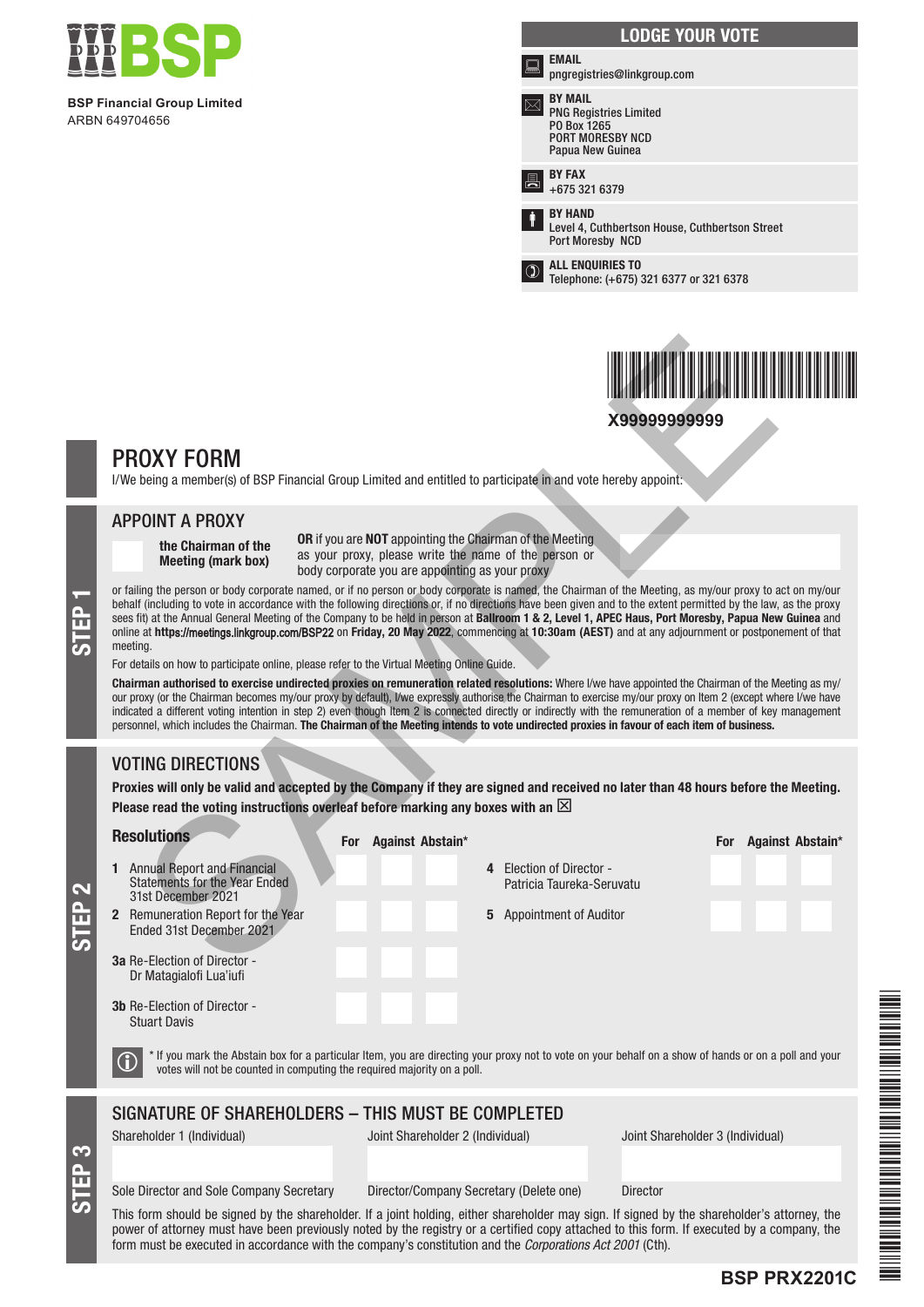

**BSP Financial Group Limited** ARBN 649704656

|   | <b>LODGE YOUR VOTE</b>                                                                                        |
|---|---------------------------------------------------------------------------------------------------------------|
| ▩ | <b>EMAIL</b><br>pngregistries@linkgroup.com                                                                   |
|   | <b>BY MAIL</b><br><b>PNG Registries Limited</b><br>PO Box 1265<br><b>PORT MORESBY NCD</b><br>Papua New Guinea |
|   | <b>BY FAX</b><br>+675 321 6379                                                                                |
| ŧ | <b>BY HAND</b><br>Level 4, Cuthbertson House, Cuthbertson Street<br>Port Moresby NCD                          |
|   | <b>ALL ENQUIRIES TO</b><br>Telephone: (+675) 321 6377 or 321 6378                                             |



# PROXY FORM

### APPOINT A PROXY

## VOTING DIRECTIONS

STEP 3

STEP 2

|                                                                                                                                                                                                                                                                                                                                                                                                                                                                                                                                                                                                                                                                                                                                                                                                                                                                                                                                                                                                                                                                                                                                                                                                                                                                                                                                                                                                                                                                                                                                                                                                                                                                  |                                                                                                                                                                                                                                                             |                                                                                   | X99999999999                                        |                  |  |  |
|------------------------------------------------------------------------------------------------------------------------------------------------------------------------------------------------------------------------------------------------------------------------------------------------------------------------------------------------------------------------------------------------------------------------------------------------------------------------------------------------------------------------------------------------------------------------------------------------------------------------------------------------------------------------------------------------------------------------------------------------------------------------------------------------------------------------------------------------------------------------------------------------------------------------------------------------------------------------------------------------------------------------------------------------------------------------------------------------------------------------------------------------------------------------------------------------------------------------------------------------------------------------------------------------------------------------------------------------------------------------------------------------------------------------------------------------------------------------------------------------------------------------------------------------------------------------------------------------------------------------------------------------------------------|-------------------------------------------------------------------------------------------------------------------------------------------------------------------------------------------------------------------------------------------------------------|-----------------------------------------------------------------------------------|-----------------------------------------------------|------------------|--|--|
| <b>PROXY FORM</b><br>I/We being a member(s) of BSP Financial Group Limited and entitled to participate in and vote hereby appoint:                                                                                                                                                                                                                                                                                                                                                                                                                                                                                                                                                                                                                                                                                                                                                                                                                                                                                                                                                                                                                                                                                                                                                                                                                                                                                                                                                                                                                                                                                                                               |                                                                                                                                                                                                                                                             |                                                                                   |                                                     |                  |  |  |
| <b>APPOINT A PROXY</b><br><b>OR</b> if you are <b>NOT</b> appointing the Chairman of the Meeting<br>the Chairman of the<br>as your proxy, please write the name of the person or<br><b>Meeting (mark box)</b><br>body corporate you are appointing as your proxy<br>or failing the person or body corporate named, or if no person or body corporate is named, the Chairman of the Meeting, as my/our proxy to act on my/our<br>behalf (including to vote in accordance with the following directions or, if no directions have been given and to the extent permitted by the law, as the proxy<br>sees fit) at the Annual General Meeting of the Company to be held in person at Ballroom 1 & 2, Level 1, APEC Haus, Port Moresby, Papua New Guinea and<br>online at https://meetings.linkgroup.com/BSP22 on Friday, 20 May 2022, commencing at 10:30am (AEST) and at any adjournment or postponement of that<br>meeting.<br>For details on how to participate online, please refer to the Virtual Meeting Online Guide.<br>Chairman authorised to exercise undirected proxies on remuneration related resolutions: Where I/we have appointed the Chairman of the Meeting as my/<br>our proxy (or the Chairman becomes my/our proxy by default), I/we expressly authorise the Chairman to exercise my/our proxy on Item 2 (except where I/we have<br>indicated a different voting intention in step 2) even though Item 2 is connected directly or indirectly with the remuneration of a member of key management<br>personnel, which includes the Chairman. The Chairman of the Meeting intends to vote undirected proxies in favour of each item of business. |                                                                                                                                                                                                                                                             |                                                                                   |                                                     |                  |  |  |
| <b>VOTING DIRECTIONS</b><br>Proxies will only be valid and accepted by the Company if they are signed and received no later than 48 hours before the Meeting.<br>Please read the voting instructions overleaf before marking any boxes with an $\boxtimes$<br><b>Resolutions</b><br>1 Annual Report and Financial<br><b>Statements for the Year Ended</b><br>31st December 2021<br>2 Remuneration Report for the Year<br>Ended 31st December 2021<br><b>3a</b> Re-Election of Director -<br>Dr Matagialofi Lua'iufi<br><b>3b</b> Re-Election of Director -<br><b>Stuart Davis</b>                                                                                                                                                                                                                                                                                                                                                                                                                                                                                                                                                                                                                                                                                                                                                                                                                                                                                                                                                                                                                                                                                | Against Abstain*<br>For<br>* If you mark the Abstain box for a particular Item, you are directing your proxy not to vote on your behalf on a show of hands or on a poll and your<br>votes will not be counted in computing the required majority on a poll. | 4 Election of Director -<br>Patricia Taureka-Seruvatu<br>5 Appointment of Auditor | <b>For</b>                                          | Against Abstain* |  |  |
| SIGNATURE OF SHAREHOLDERS - THIS MUST BE COMPLETED<br>Shareholder 1 (Individual)<br>Sole Director and Sole Company Secretary<br>This form should be signed by the shareholder. If a joint holding, either shareholder may sign. If signed by the shareholder's attorney, the                                                                                                                                                                                                                                                                                                                                                                                                                                                                                                                                                                                                                                                                                                                                                                                                                                                                                                                                                                                                                                                                                                                                                                                                                                                                                                                                                                                     | Joint Shareholder 2 (Individual)                                                                                                                                                                                                                            | Director/Company Secretary (Delete one)                                           | Joint Shareholder 3 (Individual)<br><b>Director</b> |                  |  |  |

power of attorney must have been previously noted by the registry or a certified copy attached to this form. If executed by a company, the form must be executed in accordance with the company's constitution and the *Corporations Act 2001* (Cth).

**BSP PRX2201C**

FSP PRESIDENT PRESIDENT PRESIDENT PRESIDENT PRESIDENT PRESIDENT PRESIDENT PRESIDENT PRESIDENT PRESIDENT PRESID

THE REPORT OF A REAL PROPERTY AND A REPORT OF A REAL PROPERTY.